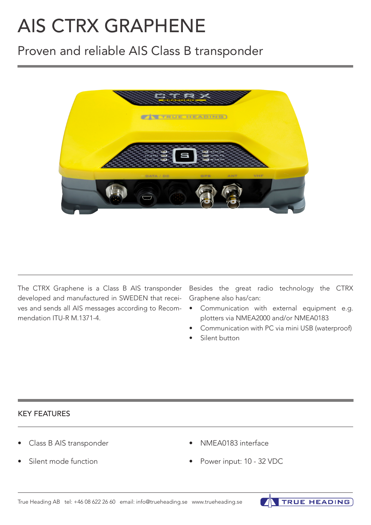# AIS CTRX GRAPHENE

# Proven and reliable AIS Class B transponder



The CTRX Graphene is a Class B AIS transponder developed and manufactured in SWEDEN that recei-Graphene also has/can: ves and sends all AIS messages according to Recommendation ITU-R M.1371-4.

Besides the great radio technology the CTRX

- Communication with external equipment e.g. plotters via NMEA2000 and/or NMEA0183
- Communication with PC via mini USB (waterproof)

**TRUE HEADING** 

Silent button

# KEY FEATURES

- Class B AIS transponder
- Silent mode function
- NMEA0183 interface
- Power input: 10 32 VDC